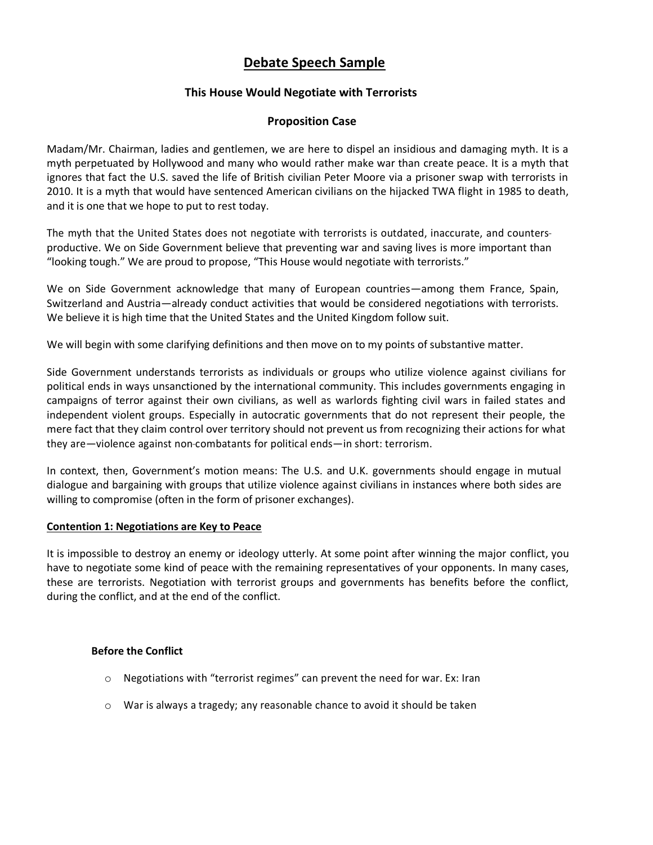# **Debate Speech Sample**

# **This House Would Negotiate with Terrorists**

# **Proposition Case**

Madam/Mr. Chairman, ladies and gentlemen, we are here to dispel an insidious and damaging myth. It is a myth perpetuated by Hollywood and many who would rather make war than create peace. It is a myth that ignores that fact the U.S. saved the life of British civilian Peter Moore via a prisoner swap with terrorists in 2010. It is a myth that would have sentenced American civilians on the hijacked TWA flight in 1985 to death, and it is one that we hope to put to rest today.

The myth that the United States does not negotiate with terrorists is outdated, inaccurate, and counters productive. We on Side Government believe that preventing war and saving lives is more important than "looking tough." We are proud to propose, "This House would negotiate with terrorists."

We on Side Government acknowledge that many of European countries—among them France, Spain, Switzerland and Austria—already conduct activities that would be considered negotiations with terrorists. We believe it is high time that the United States and the United Kingdom follow suit.

We will begin with some clarifying definitions and then move on to my points of substantive matter.

Side Government understands terrorists as individuals or groups who utilize violence against civilians for political ends in ways unsanctioned by the international community. This includes governments engaging in campaigns of terror against their own civilians, as well as warlords fighting civil wars in failed states and independent violent groups. Especially in autocratic governments that do not represent their people, the mere fact that they claim control over territory should not prevent us from recognizing their actions for what they are—violence against non-combatants for political ends—in short: terrorism.

In context, then, Government's motion means: The U.S. and U.K. governments should engage in mutual dialogue and bargaining with groups that utilize violence against civilians in instances where both sides are willing to compromise (often in the form of prisoner exchanges).

# **Contention 1: Negotiations are Key to Peace**

It is impossible to destroy an enemy or ideology utterly. At some point after winning the major conflict, you have to negotiate some kind of peace with the remaining representatives of your opponents. In many cases, these are terrorists. Negotiation with terrorist groups and governments has benefits before the conflict, during the conflict, and at the end of the conflict.

#### **Before the Conflict**

- o Negotiations with "terrorist regimes" can prevent the need for war. Ex: Iran
- o War is always a tragedy; any reasonable chance to avoid it should be taken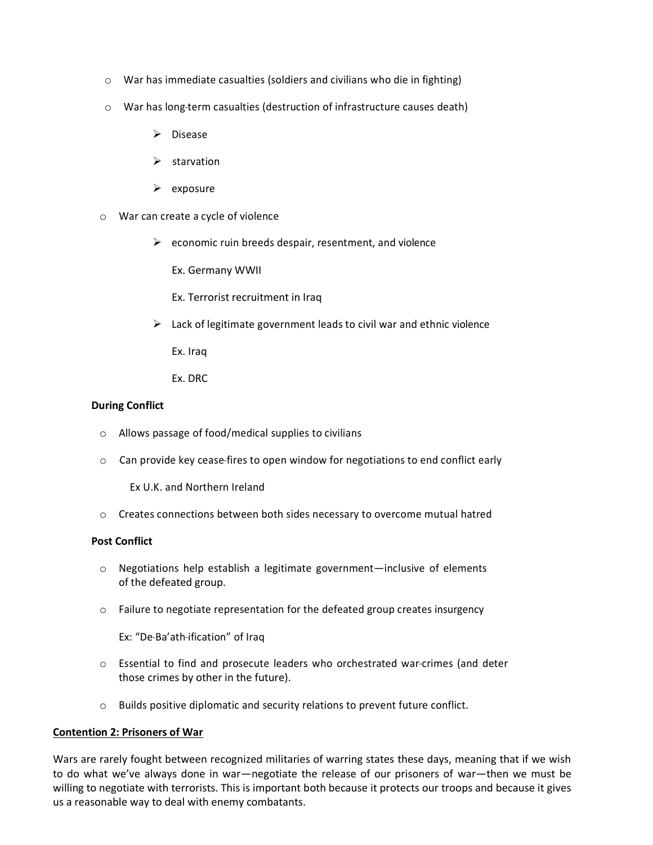- o War has immediate casualties (soldiers and civilians who die in fighting)
- o War has long-term casualties (destruction of infrastructure causes death)
	- $\triangleright$  Disease
	- $\triangleright$  starvation
	- $\triangleright$  exposure
- o War can create a cycle of violence
	- $\triangleright$  economic ruin breeds despair, resentment, and violence
		- Ex. Germany WWII
		- Ex. Terrorist recruitment in Iraq
	- $\triangleright$  Lack of legitimate government leads to civil war and ethnic violence
		- Ex. Iraq
		- Ex. DRC

### **During Conflict**

- o Allows passage of food/medical supplies to civilians
- $\circ$  Can provide key cease-fires to open window for negotiations to end conflict early

Ex U.K. and Northern Ireland

o Creates connections between both sides necessary to overcome mutual hatred

#### **Post Conflict**

- o Negotiations help establish a legitimate government—inclusive of elements of the defeated group.
- o Failure to negotiate representation for the defeated group creates insurgency

Ex: "De-Ba'ath-ification" of Iraq

- $\circ$  Essential to find and prosecute leaders who orchestrated war-crimes (and deter those crimes by other in the future).
- o Builds positive diplomatic and security relations to prevent future conflict.

# **Contention 2: Prisoners of War**

Wars are rarely fought between recognized militaries of warring states these days, meaning that if we wish to do what we've always done in war—negotiate the release of our prisoners of war—then we must be willing to negotiate with terrorists. This is important both because it protects our troops and because it gives us a reasonable way to deal with enemy combatants.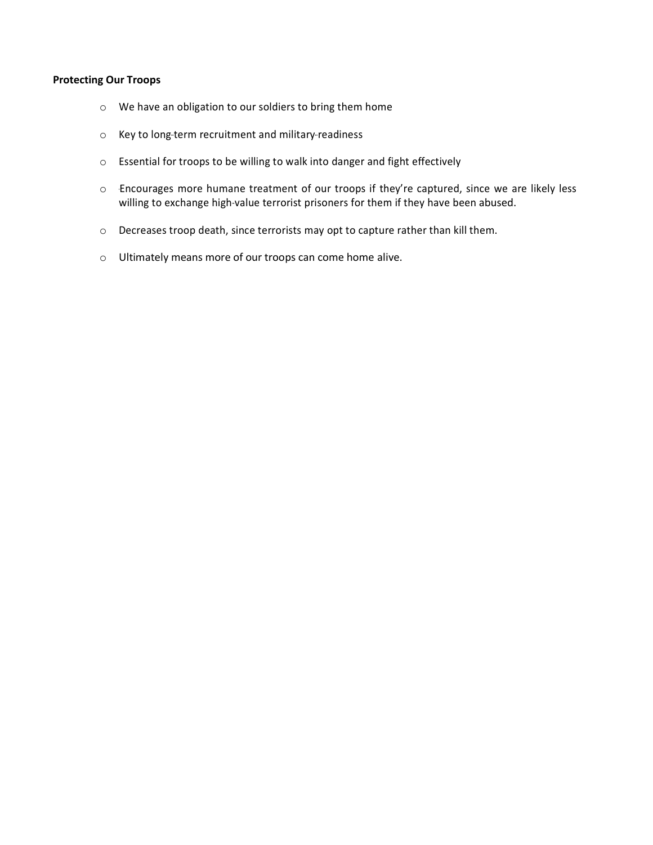# **Protecting Our Troops**

- o We have an obligation to our soldiers to bring them home
- o Key to long-term recruitment and military-readiness
- o Essential for troops to be willing to walk into danger and fight effectively
- o Encourages more humane treatment of our troops if they're captured, since we are likely less willing to exchange high-value terrorist prisoners for them if they have been abused.
- o Decreases troop death, since terrorists may opt to capture rather than kill them.
- o Ultimately means more of our troops can come home alive.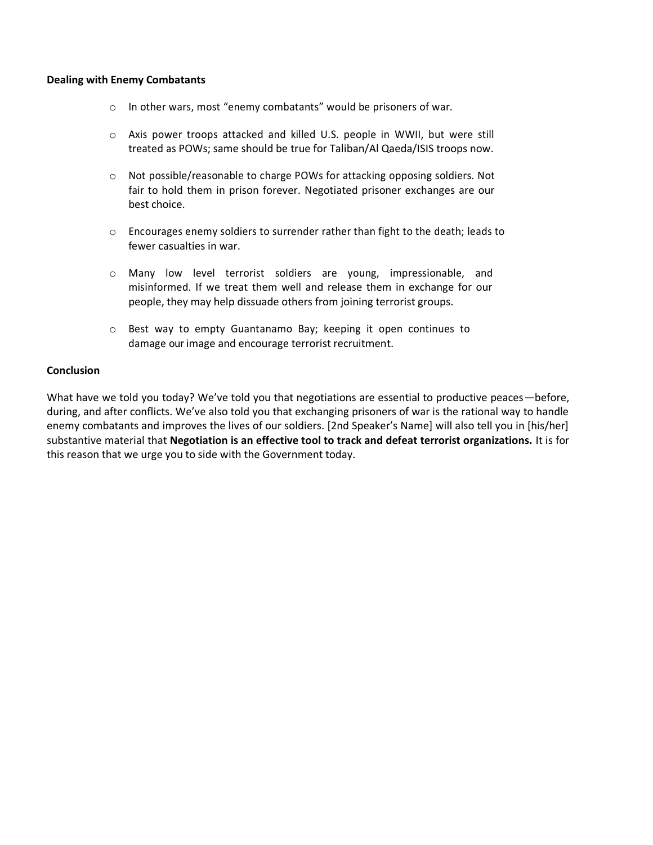#### **Dealing with Enemy Combatants**

- o In other wars, most "enemy combatants" would be prisoners of war.
- o Axis power troops attacked and killed U.S. people in WWII, but were still treated as POWs; same should be true for Taliban/Al Qaeda/ISIS troops now.
- o Not possible/reasonable to charge POWs for attacking opposing soldiers. Not fair to hold them in prison forever. Negotiated prisoner exchanges are our best choice.
- o Encourages enemy soldiers to surrender rather than fight to the death; leads to fewer casualties in war.
- o Many low level terrorist soldiers are young, impressionable, and misinformed. If we treat them well and release them in exchange for our people, they may help dissuade others from joining terrorist groups.
- o Best way to empty Guantanamo Bay; keeping it open continues to damage our image and encourage terrorist recruitment.

#### **Conclusion**

What have we told you today? We've told you that negotiations are essential to productive peaces—before, during, and after conflicts. We've also told you that exchanging prisoners of war is the rational way to handle enemy combatants and improves the lives of our soldiers. [2nd Speaker's Name] will also tell you in [his/her] substantive material that **Negotiation is an effective tool to track and defeat terrorist organizations.** It is for this reason that we urge you to side with the Government today.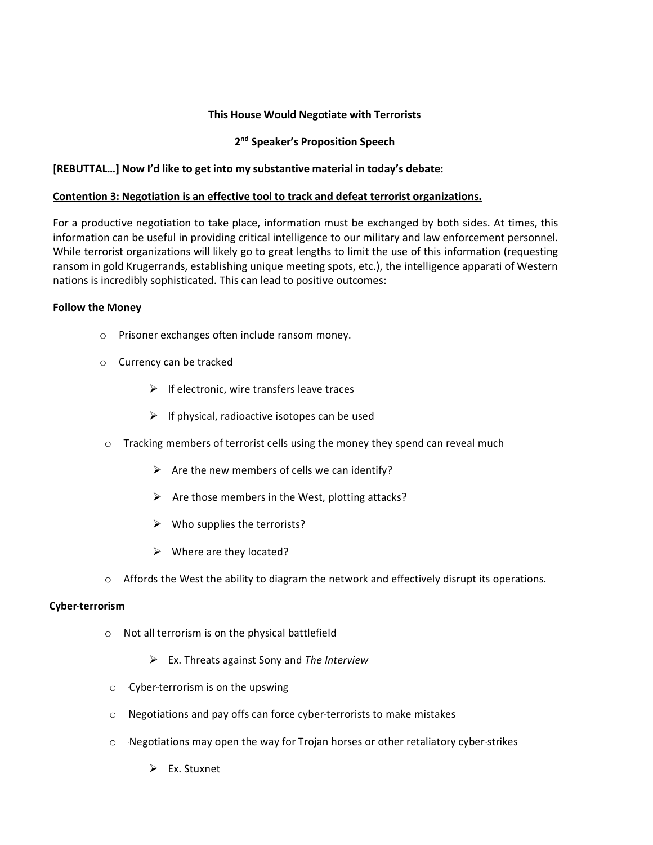# **This House Would Negotiate with Terrorists**

# **2 nd Speaker's Proposition Speech**

# **[REBUTTAL…] Now I'd like to get into my substantive material in today's debate:**

# **Contention 3: Negotiation is an effective tool to track and defeat terrorist organizations.**

For a productive negotiation to take place, information must be exchanged by both sides. At times, this information can be useful in providing critical intelligence to our military and law enforcement personnel. While terrorist organizations will likely go to great lengths to limit the use of this information (requesting ransom in gold Krugerrands, establishing unique meeting spots, etc.), the intelligence apparati of Western nations is incredibly sophisticated. This can lead to positive outcomes:

### **Follow the Money**

- o Prisoner exchanges often include ransom money.
- o Currency can be tracked
	- $\triangleright$  If electronic, wire transfers leave traces
	- $\triangleright$  If physical, radioactive isotopes can be used
- o Tracking members of terrorist cells using the money they spend can reveal much
	- $\triangleright$  Are the new members of cells we can identify?
	- $\triangleright$  Are those members in the West, plotting attacks?
	- $\triangleright$  Who supplies the terrorists?
	- $\triangleright$  Where are they located?
- $\circ$  Affords the West the ability to diagram the network and effectively disrupt its operations.

# **Cyber-terrorism**

- o Not all terrorism is on the physical battlefield
	- Ex. Threats against Sony and *The Interview*
- o Cyber-terrorism is on the upswing
- o Negotiations and pay offs can force cyber-terrorists to make mistakes
- $\circ$  -Negotiations may open the way for Trojan horses or other retaliatory cyber-strikes
	- $\triangleright$  Ex. Stuxnet